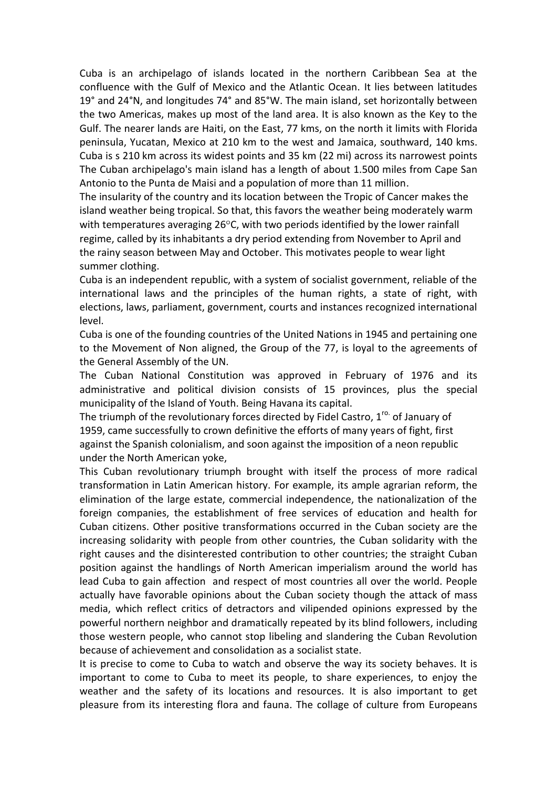Cuba is an archipelago of islands located in the northern Caribbean Sea at the confluence with the Gulf of Mexico and the Atlantic Ocean. It lies between latitudes 19° and 24°N, and longitudes 74° and 85°W. The main island, set horizontally between the two Americas, makes up most of the land area. It is also known as the Key to the Gulf. The nearer lands are Haiti, on the East, 77 kms, on the north it limits with Florida peninsula, Yucatan, Mexico at 210 km to the west and Jamaica, southward, 140 kms. Cuba is s 210 km across its widest points and 35 km (22 mi) across its narrowest points The Cuban archipelago's main island has a length of about 1.500 miles from Cape San Antonio to the Punta de Maisi and a population of more than 11 million.

The insularity of the country and its location between the Tropic of Cancer makes the island weather being tropical. So that, this favors the weather being moderately warm with temperatures averaging  $26^{\circ}$ C, with two periods identified by the lower rainfall regime, called by its inhabitants a dry period extending from November to April and the rainy season between May and October. This motivates people to wear light summer clothing.

Cuba is an independent republic, with a system of socialist government, reliable of the international laws and the principles of the human rights, a state of right, with elections, laws, parliament, government, courts and instances recognized international level.

Cuba is one of the founding countries of the United Nations in 1945 and pertaining one to the Movement of Non aligned, the Group of the 77, is loyal to the agreements of the General Assembly of the UN.

The Cuban National Constitution was approved in February of 1976 and its administrative and political division consists of 15 provinces, plus the special municipality of the Island of Youth. Being Havana its capital.

The triumph of the revolutionary forces directed by Fidel Castro,  $1^{6}$  of January of 1959, came successfully to crown definitive the efforts of many years of fight, first against the Spanish colonialism, and soon against the imposition of a neon republic under the North American yoke,

This Cuban revolutionary triumph brought with itself the process of more radical transformation in Latin American history. For example, its ample agrarian reform, the elimination of the large estate, commercial independence, the nationalization of the foreign companies, the establishment of free services of education and health for Cuban citizens. Other positive transformations occurred in the Cuban society are the increasing solidarity with people from other countries, the Cuban solidarity with the right causes and the disinterested contribution to other countries; the straight Cuban position against the handlings of North American imperialism around the world has lead Cuba to gain affection and respect of most countries all over the world. People actually have favorable opinions about the Cuban society though the attack of mass media, which reflect critics of detractors and vilipended opinions expressed by the powerful northern neighbor and dramatically repeated by its blind followers, including those western people, who cannot stop libeling and slandering the Cuban Revolution because of achievement and consolidation as a socialist state.

It is precise to come to Cuba to watch and observe the way its society behaves. It is important to come to Cuba to meet its people, to share experiences, to enjoy the weather and the safety of its locations and resources. It is also important to get pleasure from its interesting flora and fauna. The collage of culture from Europeans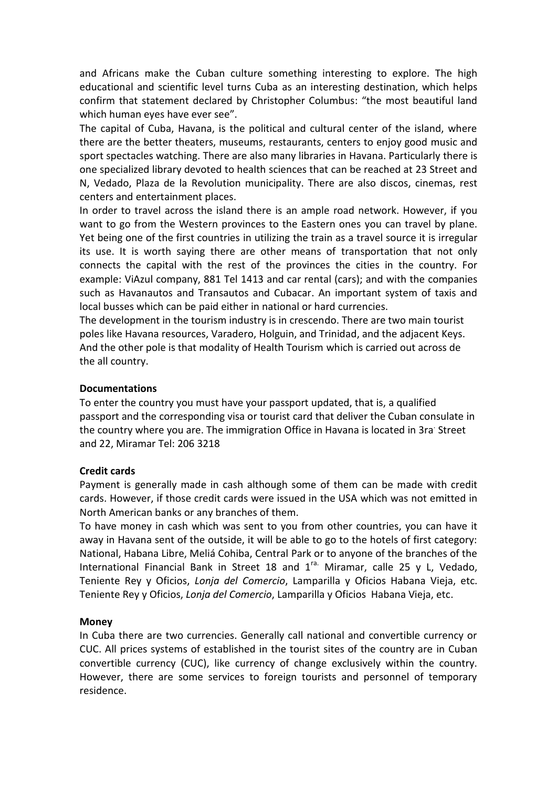and Africans make the Cuban culture something interesting to explore. The high educational and scientific level turns Cuba as an interesting destination, which helps confirm that statement declared by Christopher Columbus: "the most beautiful land which human eyes have ever see".

The capital of Cuba, Havana, is the political and cultural center of the island, where there are the better theaters, museums, restaurants, centers to enjoy good music and sport spectacles watching. There are also many libraries in Havana. Particularly there is one specialized library devoted to health sciences that can be reached at 23 Street and N, Vedado, Plaza de la Revolution municipality. There are also discos, cinemas, rest centers and entertainment places.

In order to travel across the island there is an ample road network. However, if you want to go from the Western provinces to the Eastern ones you can travel by plane. Yet being one of the first countries in utilizing the train as a travel source it is irregular its use. It is worth saying there are other means of transportation that not only connects the capital with the rest of the provinces the cities in the country. For example: ViAzul company, 881 Tel 1413 and car rental (cars); and with the companies such as Havanautos and Transautos and Cubacar. An important system of taxis and local busses which can be paid either in national or hard currencies.

The development in the tourism industry is in crescendo. There are two main tourist poles like Havana resources, Varadero, Holguin, and Trinidad, and the adjacent Keys. And the other pole is that modality of Health Tourism which is carried out across de the all country.

### **Documentations**

To enter the country you must have your passport updated, that is, a qualified passport and the corresponding visa or tourist card that deliver the Cuban consulate in the country where you are. The immigration Office in Havana is located in 3ra<sup>.</sup> Street and 22, Miramar Tel: 206 3218

### **Credit cards**

Payment is generally made in cash although some of them can be made with credit cards. However, if those credit cards were issued in the USA which was not emitted in North American banks or any branches of them.

To have money in cash which was sent to you from other countries, you can have it away in Havana sent of the outside, it will be able to go to the hotels of first category: National, Habana Libre, Meliá Cohiba, Central Park or to anyone of the branches of the International Financial Bank in Street 18 and  $1^{ra}$ . Miramar, calle 25 y L, Vedado, Teniente Rey y Oficios, *Lonja del Comercio*, Lamparilla y Oficios Habana Vieja, etc. Teniente Rey y Oficios, *Lonja del Comercio*, Lamparilla y Oficios Habana Vieja, etc.

### **Money**

In Cuba there are two currencies. Generally call national and convertible currency or CUC. All prices systems of established in the tourist sites of the country are in Cuban convertible currency (CUC), like currency of change exclusively within the country. However, there are some services to foreign tourists and personnel of temporary residence.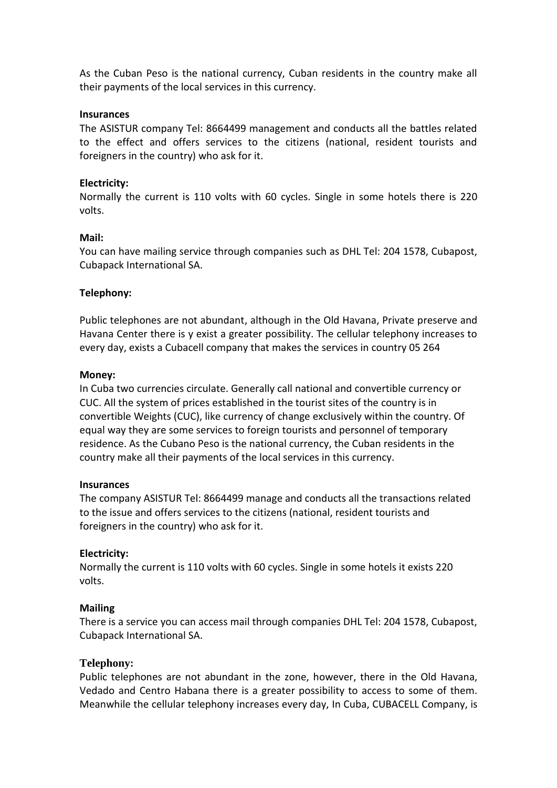As the Cuban Peso is the national currency, Cuban residents in the country make all their payments of the local services in this currency.

#### **Insurances**

The ASISTUR company Tel: 8664499 management and conducts all the battles related to the effect and offers services to the citizens (national, resident tourists and foreigners in the country) who ask for it.

### **Electricity:**

Normally the current is 110 volts with 60 cycles. Single in some hotels there is 220 volts.

#### **Mail:**

You can have mailing service through companies such as DHL Tel: 204 1578, Cubapost, Cubapack International SA.

### **Telephony:**

Public telephones are not abundant, although in the Old Havana, Private preserve and Havana Center there is y exist a greater possibility. The cellular telephony increases to every day, exists a Cubacell company that makes the services in country 05 264

#### **Money:**

In Cuba two currencies circulate. Generally call national and convertible currency or CUC. All the system of prices established in the tourist sites of the country is in convertible Weights (CUC), like currency of change exclusively within the country. Of equal way they are some services to foreign tourists and personnel of temporary residence. As the Cubano Peso is the national currency, the Cuban residents in the country make all their payments of the local services in this currency.

#### **Insurances**

The company ASISTUR Tel: 8664499 manage and conducts all the transactions related to the issue and offers services to the citizens (national, resident tourists and foreigners in the country) who ask for it.

### **Electricity:**

Normally the current is 110 volts with 60 cycles. Single in some hotels it exists 220 volts.

### **Mailing**

There is a service you can access mail through companies DHL Tel: 204 1578, Cubapost, Cubapack International SA.

### **Telephony:**

Public telephones are not abundant in the zone, however, there in the Old Havana, Vedado and Centro Habana there is a greater possibility to access to some of them. Meanwhile the cellular telephony increases every day, In Cuba, CUBACELL Company, is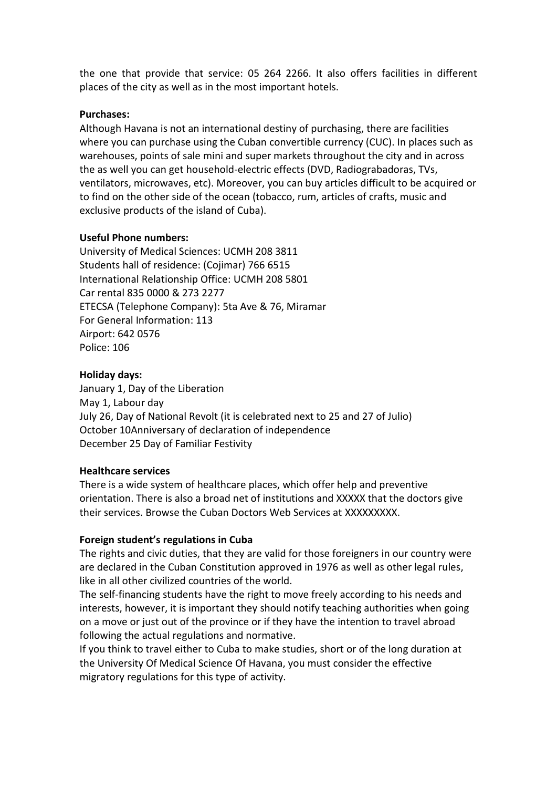the one that provide that service: 05 264 2266. It also offers facilities in different places of the city as well as in the most important hotels.

# **Purchases:**

Although Havana is not an international destiny of purchasing, there are facilities where you can purchase using the Cuban convertible currency (CUC). In places such as warehouses, points of sale mini and super markets throughout the city and in across the as well you can get household-electric effects (DVD, Radiograbadoras, TVs, ventilators, microwaves, etc). Moreover, you can buy articles difficult to be acquired or to find on the other side of the ocean (tobacco, rum, articles of crafts, music and exclusive products of the island of Cuba).

# **Useful Phone numbers:**

University of Medical Sciences: UCMH 208 3811 Students hall of residence: (Cojimar) 766 6515 International Relationship Office: UCMH 208 5801 Car rental 835 0000 & 273 2277 ETECSA (Telephone Company): 5ta Ave & 76, Miramar For General Information: 113 Airport: 642 0576 Police: 106

# **Holiday days:**

January 1, Day of the Liberation May 1, Labour day July 26, Day of National Revolt (it is celebrated next to 25 and 27 of Julio) October 10Anniversary of declaration of independence December 25 Day of Familiar Festivity

### **Healthcare services**

There is a wide system of healthcare places, which offer help and preventive orientation. There is also a broad net of institutions and XXXXX that the doctors give their services. Browse the Cuban Doctors Web Services at XXXXXXXXX.

# **Foreign student's regulations in Cuba**

The rights and civic duties, that they are valid for those foreigners in our country were are declared in the Cuban Constitution approved in 1976 as well as other legal rules, like in all other civilized countries of the world.

The self-financing students have the right to move freely according to his needs and interests, however, it is important they should notify teaching authorities when going on a move or just out of the province or if they have the intention to travel abroad following the actual regulations and normative.

If you think to travel either to Cuba to make studies, short or of the long duration at the University Of Medical Science Of Havana, you must consider the effective migratory regulations for this type of activity.